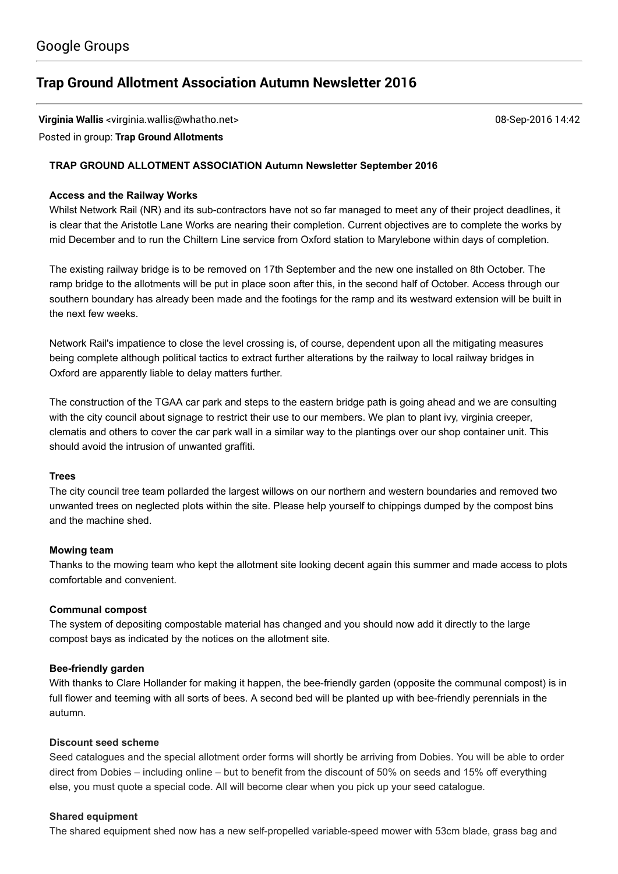# **Trap Ground Allotment [Association](https://groups.google.com/d/topic/trapgroundallotments/NqsC-O2kAVs) Autumn Newsletter 2016**

**Virginia Wallis** <virginia.wallis@whatho.net> 08-Sep-2016 14:42

# Posted in group: **Trap Ground [Allotments](https://groups.google.com/d/forum/trapgroundallotments)**

## **TRAP GROUND ALLOTMENT ASSOCIATION Autumn Newsletter September 2016**

## **Access and the Railway Works**

Whilst Network Rail (NR) and its sub-contractors have not so far managed to meet any of their project deadlines, it is clear that the Aristotle Lane Works are nearing their completion. Current objectives are to complete the works by mid December and to run the Chiltern Line service from Oxford station to Marylebone within days of completion.

The existing railway bridge is to be removed on 17th September and the new one installed on 8th October. The ramp bridge to the allotments will be put in place soon after this, in the second half of October. Access through our southern boundary has already been made and the footings for the ramp and its westward extension will be built in the next few weeks.

Network Rail's impatience to close the level crossing is, of course, dependent upon all the mitigating measures being complete although political tactics to extract further alterations by the railway to local railway bridges in Oxford are apparently liable to delay matters further.

The construction of the TGAA car park and steps to the eastern bridge path is going ahead and we are consulting with the city council about signage to restrict their use to our members. We plan to plant ivy, virginia creeper, clematis and others to cover the car park wall in a similar way to the plantings over our shop container unit. This should avoid the intrusion of unwanted graffiti.

#### **Trees**

The city council tree team pollarded the largest willows on our northern and western boundaries and removed two unwanted trees on neglected plots within the site. Please help yourself to chippings dumped by the compost bins and the machine shed.

#### **Mowing team**

Thanks to the mowing team who kept the allotment site looking decent again this summer and made access to plots comfortable and convenient.

## **Communal compost**

The system of depositing compostable material has changed and you should now add it directly to the large compost bays as indicated by the notices on the allotment site.

#### **Beefriendly garden**

With thanks to Clare Hollander for making it happen, the bee-friendly garden (opposite the communal compost) is in full flower and teeming with all sorts of bees. A second bed will be planted up with bee-friendly perennials in the autumn.

#### **Discount seed scheme**

Seed catalogues and the special allotment order forms will shortly be arriving from Dobies. You will be able to order direct from Dobies – including online – but to benefit from the discount of 50% on seeds and 15% off everything else, you must quote a special code. All will become clear when you pick up your seed catalogue.

#### **Shared equipment**

The shared equipment shed now has a new self-propelled variable-speed mower with 53cm blade, grass bag and